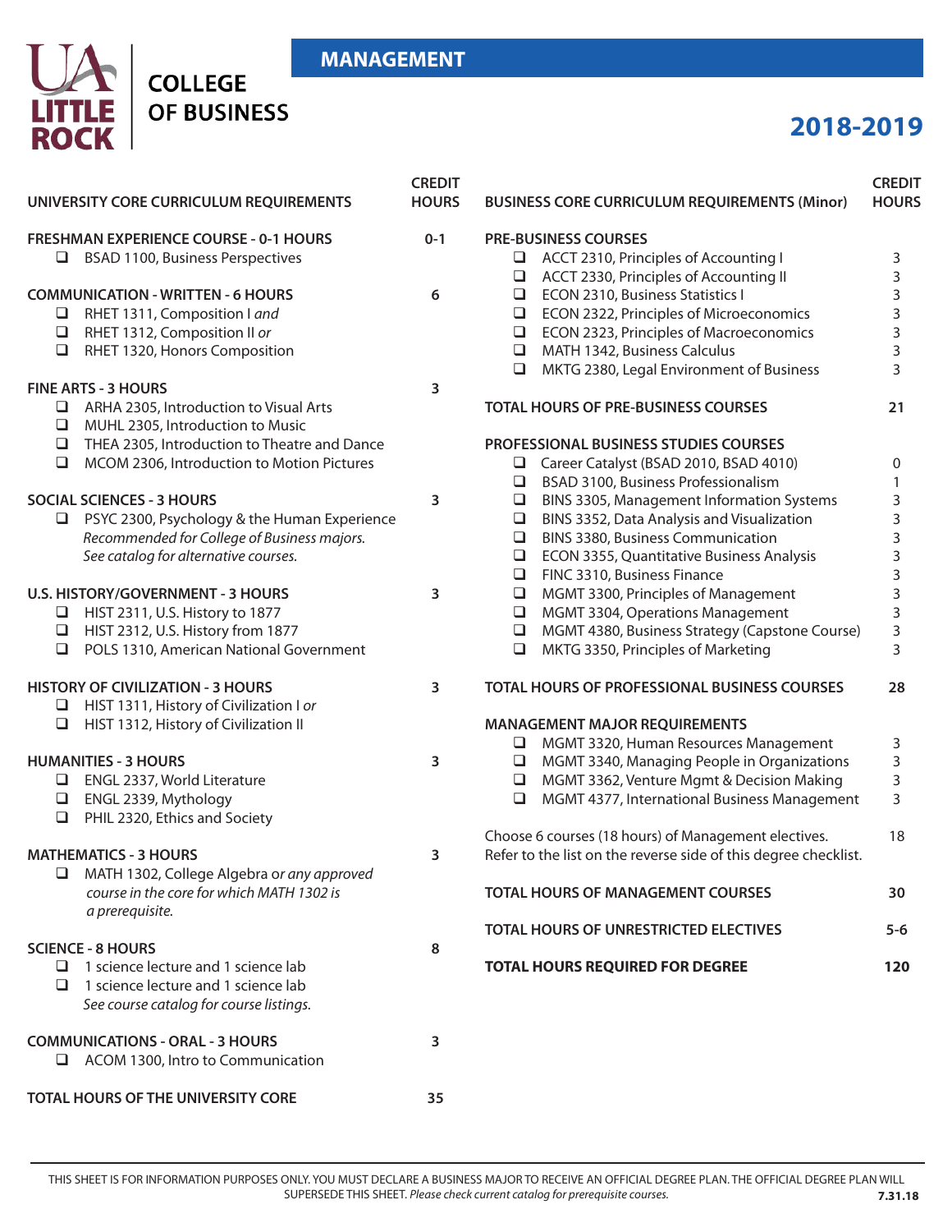### **MANAGEMENT**



## **2018-2019**

| UNIVERSITY CORE CURRICULUM REQUIREMENTS                                                     | <b>CREDIT</b><br><b>HOURS</b> | <b>BUSINESS CORE CURRICULUM REQUIREMENTS (Minor)</b>            | <b>CREDIT</b><br><b>HOURS</b> |
|---------------------------------------------------------------------------------------------|-------------------------------|-----------------------------------------------------------------|-------------------------------|
| <b>FRESHMAN EXPERIENCE COURSE - 0-1 HOURS</b>                                               | $0 - 1$                       | <b>PRE-BUSINESS COURSES</b>                                     |                               |
| BSAD 1100, Business Perspectives                                                            |                               | ACCT 2310, Principles of Accounting I<br>$\Box$                 | 3                             |
|                                                                                             |                               | ACCT 2330, Principles of Accounting II<br>$\Box$                | 3                             |
| <b>COMMUNICATION - WRITTEN - 6 HOURS</b>                                                    | 6                             | ECON 2310, Business Statistics I<br>$\Box$                      | 3                             |
| RHET 1311, Composition I and                                                                |                               | ECON 2322, Principles of Microeconomics<br>$\Box$               | 3                             |
| RHET 1312, Composition II or<br>$\Box$                                                      |                               | ECON 2323, Principles of Macroeconomics<br>$\Box$               | 3                             |
| RHET 1320, Honors Composition<br>$\Box$                                                     |                               | MATH 1342, Business Calculus<br>$\Box$                          | 3                             |
|                                                                                             |                               | MKTG 2380, Legal Environment of Business<br>$\Box$              | 3                             |
| <b>FINE ARTS - 3 HOURS</b>                                                                  | 3                             |                                                                 |                               |
| $\Box$ ARHA 2305, Introduction to Visual Arts<br>MUHL 2305, Introduction to Music<br>$\Box$ |                               | <b>TOTAL HOURS OF PRE-BUSINESS COURSES</b>                      | 21                            |
| THEA 2305, Introduction to Theatre and Dance<br>⊔                                           |                               | <b>PROFESSIONAL BUSINESS STUDIES COURSES</b>                    |                               |
| MCOM 2306, Introduction to Motion Pictures<br>$\Box$                                        |                               | Career Catalyst (BSAD 2010, BSAD 4010)<br>⊔                     | 0                             |
|                                                                                             |                               | BSAD 3100, Business Professionalism<br>$\Box$                   | 1                             |
| <b>SOCIAL SCIENCES - 3 HOURS</b>                                                            | 3                             | BINS 3305, Management Information Systems<br>$\Box$             | 3                             |
| $\Box$ PSYC 2300, Psychology & the Human Experience                                         |                               | BINS 3352, Data Analysis and Visualization<br>$\Box$            | 3                             |
| Recommended for College of Business majors.                                                 |                               | BINS 3380, Business Communication<br>$\Box$                     | 3                             |
| See catalog for alternative courses.                                                        |                               | ECON 3355, Quantitative Business Analysis<br>$\Box$             | 3                             |
|                                                                                             |                               | FINC 3310, Business Finance<br>$\Box$                           | 3                             |
| <b>U.S. HISTORY/GOVERNMENT - 3 HOURS</b>                                                    | 3                             | MGMT 3300, Principles of Management<br>$\Box$                   | 3                             |
| HIST 2311, U.S. History to 1877                                                             |                               | MGMT 3304, Operations Management<br>$\Box$                      | 3                             |
| HIST 2312, U.S. History from 1877                                                           |                               | MGMT 4380, Business Strategy (Capstone Course)<br>$\Box$        | 3                             |
| POLS 1310, American National Government<br>$\Box$                                           |                               | MKTG 3350, Principles of Marketing<br>$\Box$                    | 3                             |
| <b>HISTORY OF CIVILIZATION - 3 HOURS</b>                                                    | 3                             | TOTAL HOURS OF PROFESSIONAL BUSINESS COURSES                    | 28                            |
| $\Box$ HIST 1311, History of Civilization I or                                              |                               |                                                                 |                               |
| HIST 1312, History of Civilization II<br>$\Box$                                             |                               | <b>MANAGEMENT MAJOR REQUIREMENTS</b>                            |                               |
|                                                                                             |                               | MGMT 3320, Human Resources Management<br>⊔                      | 3                             |
| <b>HUMANITIES - 3 HOURS</b>                                                                 | 3                             | MGMT 3340, Managing People in Organizations<br>$\Box$           | 3                             |
| ENGL 2337, World Literature                                                                 |                               | MGMT 3362, Venture Mgmt & Decision Making<br>⊔                  | 3                             |
| ENGL 2339, Mythology<br>$\Box$<br>PHIL 2320, Ethics and Society<br>$\Box$                   |                               | MGMT 4377, International Business Management<br>$\Box$          | 3                             |
|                                                                                             |                               | Choose 6 courses (18 hours) of Management electives.            | 18                            |
| <b>MATHEMATICS - 3 HOURS</b>                                                                | 3                             | Refer to the list on the reverse side of this degree checklist. |                               |
| MATH 1302, College Algebra or any approved                                                  |                               |                                                                 |                               |
| course in the core for which MATH 1302 is<br>a prerequisite.                                |                               | <b>TOTAL HOURS OF MANAGEMENT COURSES</b>                        | 30                            |
|                                                                                             |                               | TOTAL HOURS OF UNRESTRICTED ELECTIVES                           | $5 - 6$                       |
| <b>SCIENCE - 8 HOURS</b>                                                                    | 8                             |                                                                 |                               |
| 1 science lecture and 1 science lab<br>⊔.                                                   |                               | <b>TOTAL HOURS REQUIRED FOR DEGREE</b>                          | 120                           |
| 1 science lecture and 1 science lab<br>ப                                                    |                               |                                                                 |                               |
| See course catalog for course listings.                                                     |                               |                                                                 |                               |
| <b>COMMUNICATIONS - ORAL - 3 HOURS</b>                                                      | 3                             |                                                                 |                               |
| ACOM 1300, Intro to Communication                                                           |                               |                                                                 |                               |
| TOTAL HOURS OF THE UNIVERSITY CORE                                                          | 35                            |                                                                 |                               |

THIS SHEET IS FOR INFORMATION PURPOSES ONLY. YOU MUST DECLARE A BUSINESS MAJOR TO RECEIVE AN OFFICIAL DEGREE PLAN. THE OFFICIAL DEGREE PLAN WILL SUPERSEDE THIS SHEET. *Please check current catalog for prerequisite courses.* **7.31.18**